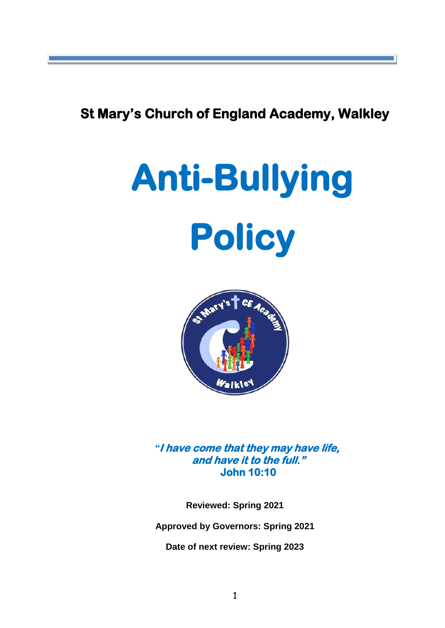**St Mary's Church of England Academy, Walkley** 

# **Anti-Bullying Policy**



*"***I have come that they may have life, and have it to the full." John 10:10** 

**Reviewed: Spring 2021**

**Approved by Governors: Spring 2021**

**Date of next review: Spring 2023**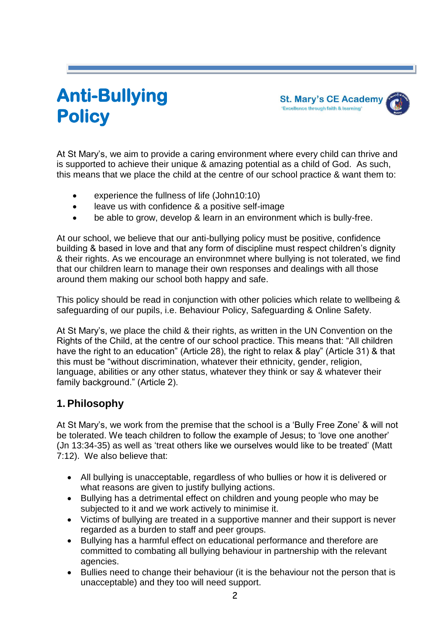# **Anti-Bullying Policy**

**St. Mary's CE Academy** 'Excellence through faith & learning'

At St Mary's, we aim to provide a caring environment where every child can thrive and is supported to achieve their unique & amazing potential as a child of God. As such, this means that we place the child at the centre of our school practice & want them to:

- experience the fullness of life (John10:10)
- leave us with confidence & a positive self-image
- be able to grow, develop & learn in an environment which is bully-free.

At our school, we believe that our anti-bullying policy must be positive, confidence building & based in love and that any form of discipline must respect children's dignity & their rights. As we encourage an environmnet where bullying is not tolerated, we find that our children learn to manage their own responses and dealings with all those around them making our school both happy and safe.

This policy should be read in conjunction with other policies which relate to wellbeing & safeguarding of our pupils, i.e. Behaviour Policy, Safeguarding & Online Safety.

At St Mary's, we place the child & their rights, as written in the UN Convention on the Rights of the Child, at the centre of our school practice. This means that: "All children have the right to an education" (Article 28), the right to relax & play" (Article 31) & that this must be "without discrimination, whatever their ethnicity, gender, religion, language, abilities or any other status, whatever they think or say & whatever their family background." (Article 2).

#### **1. Philosophy**

At St Mary's, we work from the premise that the school is a 'Bully Free Zone' & will not be tolerated. We teach children to follow the example of Jesus; to 'love one another' (Jn 13:34-35) as well as 'treat others like we ourselves would like to be treated' (Matt 7:12). We also believe that:

- All bullying is unacceptable, regardless of who bullies or how it is delivered or what reasons are given to justify bullying actions.
- Bullying has a detrimental effect on children and young people who may be subjected to it and we work actively to minimise it.
- Victims of bullying are treated in a supportive manner and their support is never regarded as a burden to staff and peer groups.
- Bullying has a harmful effect on educational performance and therefore are committed to combating all bullying behaviour in partnership with the relevant agencies.
- Bullies need to change their behaviour (it is the behaviour not the person that is unacceptable) and they too will need support.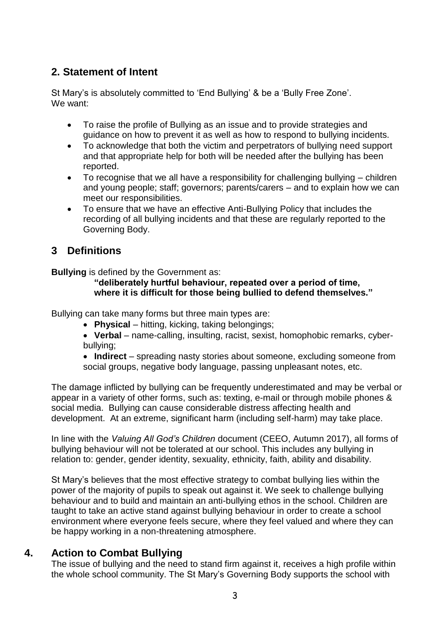# **2. Statement of Intent**

St Mary's is absolutely committed to 'End Bullying' & be a 'Bully Free Zone'. We want:

- To raise the profile of Bullying as an issue and to provide strategies and guidance on how to prevent it as well as how to respond to bullying incidents.
- To acknowledge that both the victim and perpetrators of bullying need support and that appropriate help for both will be needed after the bullying has been reported.
- To recognise that we all have a responsibility for challenging bullying children and young people; staff; governors; parents/carers – and to explain how we can meet our responsibilities.
- To ensure that we have an effective Anti-Bullying Policy that includes the recording of all bullying incidents and that these are regularly reported to the Governing Body.

# **3 Definitions**

**Bullying** is defined by the Government as:

#### **"deliberately hurtful behaviour, repeated over a period of time, where it is difficult for those being bullied to defend themselves."**

Bullying can take many forms but three main types are:

- **Physical** hitting, kicking, taking belongings;
- **Verbal**  name-calling, insulting, racist, sexist, homophobic remarks, cyberbullying;
- **Indirect** spreading nasty stories about someone, excluding someone from social groups, negative body language, passing unpleasant notes, etc.

The damage inflicted by bullying can be frequently underestimated and may be verbal or appear in a variety of other forms, such as: texting, e-mail or through mobile phones & social media. Bullying can cause considerable distress affecting health and development. At an extreme, significant harm (including self-harm) may take place.

In line with the *Valuing All God's Children* document (CEEO, Autumn 2017), all forms of bullying behaviour will not be tolerated at our school. This includes any bullying in relation to: gender, gender identity, sexuality, ethnicity, faith, ability and disability.

St Mary's believes that the most effective strategy to combat bullying lies within the power of the majority of pupils to speak out against it. We seek to challenge bullying behaviour and to build and maintain an anti-bullying ethos in the school. Children are taught to take an active stand against bullying behaviour in order to create a school environment where everyone feels secure, where they feel valued and where they can be happy working in a non-threatening atmosphere.

#### **4. Action to Combat Bullying**

The issue of bullying and the need to stand firm against it, receives a high profile within the whole school community. The St Mary's Governing Body supports the school with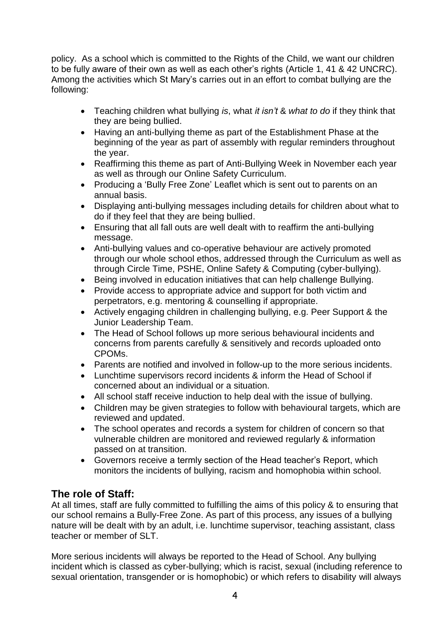policy. As a school which is committed to the Rights of the Child, we want our children to be fully aware of their own as well as each other's rights (Article 1, 41 & 42 UNCRC). Among the activities which St Mary's carries out in an effort to combat bullying are the following:

- Teaching children what bullying *is*, what *it isn't* & *what to do* if they think that they are being bullied.
- Having an anti-bullying theme as part of the Establishment Phase at the beginning of the year as part of assembly with regular reminders throughout the year.
- Reaffirming this theme as part of Anti-Bullying Week in November each year as well as through our Online Safety Curriculum.
- Producing a 'Bully Free Zone' Leaflet which is sent out to parents on an annual basis.
- Displaying anti-bullying messages including details for children about what to do if they feel that they are being bullied.
- Ensuring that all fall outs are well dealt with to reaffirm the anti-bullying message.
- Anti-bullying values and co-operative behaviour are actively promoted through our whole school ethos, addressed through the Curriculum as well as through Circle Time, PSHE, Online Safety & Computing (cyber-bullying).
- Being involved in education initiatives that can help challenge Bullying.
- Provide access to appropriate advice and support for both victim and perpetrators, e.g. mentoring & counselling if appropriate.
- Actively engaging children in challenging bullying, e.g. Peer Support & the Junior Leadership Team.
- The Head of School follows up more serious behavioural incidents and concerns from parents carefully & sensitively and records uploaded onto CPOMs.
- Parents are notified and involved in follow-up to the more serious incidents.
- Lunchtime supervisors record incidents & inform the Head of School if concerned about an individual or a situation.
- All school staff receive induction to help deal with the issue of bullying.
- Children may be given strategies to follow with behavioural targets, which are reviewed and updated.
- The school operates and records a system for children of concern so that vulnerable children are monitored and reviewed regularly & information passed on at transition.
- Governors receive a termly section of the Head teacher's Report, which monitors the incidents of bullying, racism and homophobia within school.

# **The role of Staff:**

At all times, staff are fully committed to fulfilling the aims of this policy & to ensuring that our school remains a Bully-Free Zone. As part of this process, any issues of a bullying nature will be dealt with by an adult, i.e. lunchtime supervisor, teaching assistant, class teacher or member of SLT.

More serious incidents will always be reported to the Head of School. Any bullying incident which is classed as cyber-bullying; which is racist, sexual (including reference to sexual orientation, transgender or is homophobic) or which refers to disability will always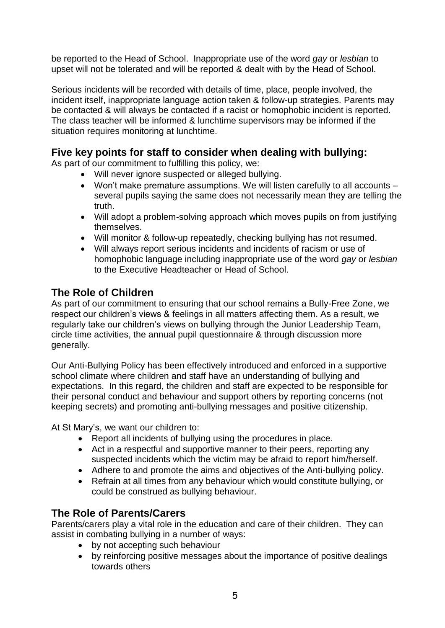be reported to the Head of School. Inappropriate use of the word *gay* or *lesbian* to upset will not be tolerated and will be reported & dealt with by the Head of School.

Serious incidents will be recorded with details of time, place, people involved, the incident itself, inappropriate language action taken & follow-up strategies. Parents may be contacted & will always be contacted if a racist or homophobic incident is reported. The class teacher will be informed & lunchtime supervisors may be informed if the situation requires monitoring at lunchtime.

#### **Five key points for staff to consider when dealing with bullying:**

As part of our commitment to fulfilling this policy, we:

- Will never ignore suspected or alleged bullying.
- Won't make premature assumptions. We will listen carefully to all accounts several pupils saying the same does not necessarily mean they are telling the truth.
- Will adopt a problem-solving approach which moves pupils on from justifying themselves.
- Will monitor & follow-up repeatedly, checking bullying has not resumed.
- Will always report serious incidents and incidents of racism or use of homophobic language including inappropriate use of the word *gay* or *lesbian* to the Executive Headteacher or Head of School.

#### **The Role of Children**

As part of our commitment to ensuring that our school remains a Bully-Free Zone, we respect our children's views & feelings in all matters affecting them. As a result, we regularly take our children's views on bullying through the Junior Leadership Team, circle time activities, the annual pupil questionnaire & through discussion more generally.

Our Anti-Bullying Policy has been effectively introduced and enforced in a supportive school climate where children and staff have an understanding of bullying and expectations. In this regard, the children and staff are expected to be responsible for their personal conduct and behaviour and support others by reporting concerns (not keeping secrets) and promoting anti-bullying messages and positive citizenship.

At St Mary's, we want our children to:

- Report all incidents of bullying using the procedures in place.
- Act in a respectful and supportive manner to their peers, reporting any suspected incidents which the victim may be afraid to report him/herself.
- Adhere to and promote the aims and objectives of the Anti-bullying policy.
- Refrain at all times from any behaviour which would constitute bullying, or could be construed as bullying behaviour.

#### **The Role of Parents/Carers**

Parents/carers play a vital role in the education and care of their children. They can assist in combating bullying in a number of ways:

- by not accepting such behaviour
- by reinforcing positive messages about the importance of positive dealings towards others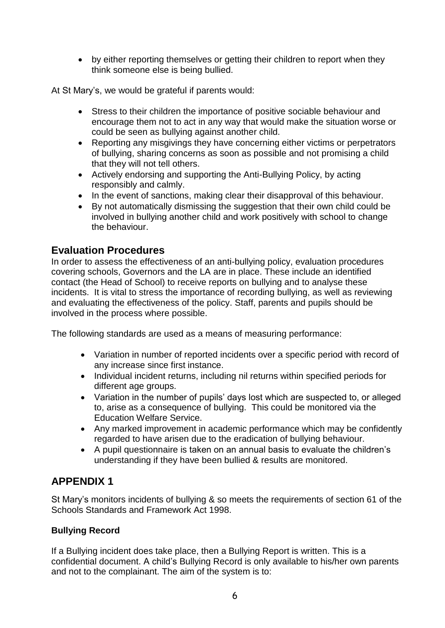by either reporting themselves or getting their children to report when they think someone else is being bullied.

At St Mary's, we would be grateful if parents would:

- Stress to their children the importance of positive sociable behaviour and encourage them not to act in any way that would make the situation worse or could be seen as bullying against another child.
- Reporting any misgivings they have concerning either victims or perpetrators of bullying, sharing concerns as soon as possible and not promising a child that they will not tell others.
- Actively endorsing and supporting the Anti-Bullying Policy, by acting responsibly and calmly.
- In the event of sanctions, making clear their disapproval of this behaviour.
- By not automatically dismissing the suggestion that their own child could be involved in bullying another child and work positively with school to change the behaviour.

#### **Evaluation Procedures**

In order to assess the effectiveness of an anti-bullying policy, evaluation procedures covering schools, Governors and the LA are in place. These include an identified contact (the Head of School) to receive reports on bullying and to analyse these incidents. It is vital to stress the importance of recording bullying, as well as reviewing and evaluating the effectiveness of the policy. Staff, parents and pupils should be involved in the process where possible.

The following standards are used as a means of measuring performance:

- Variation in number of reported incidents over a specific period with record of any increase since first instance.
- Individual incident returns, including nil returns within specified periods for different age groups.
- Variation in the number of pupils' days lost which are suspected to, or alleged to, arise as a consequence of bullying. This could be monitored via the Education Welfare Service.
- Any marked improvement in academic performance which may be confidently regarded to have arisen due to the eradication of bullying behaviour.
- A pupil questionnaire is taken on an annual basis to evaluate the children's understanding if they have been bullied & results are monitored.

#### **APPENDIX 1**

St Mary's monitors incidents of bullying & so meets the requirements of section 61 of the Schools Standards and Framework Act 1998.

#### **Bullying Record**

If a Bullying incident does take place, then a Bullying Report is written. This is a confidential document. A child's Bullying Record is only available to his/her own parents and not to the complainant. The aim of the system is to: